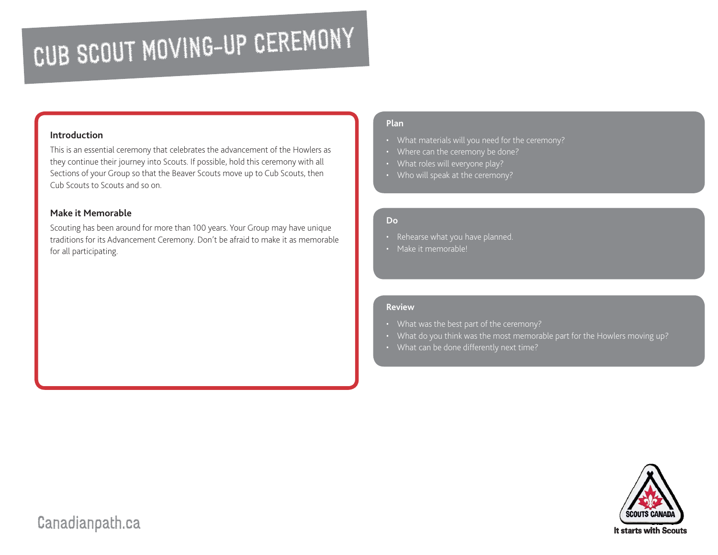## CUB SCOUT MOVING-UP CEREMONY

#### **Introduction**

This is an essential ceremony that celebrates the advancement of the Howlers as they continue their journey into Scouts. If possible, hold this ceremony with all Sections of your Group so that the Beaver Scouts move up to Cub Scouts, then Cub Scouts to Scouts and so on.

#### **Make it Memorable**

Scouting has been around for more than 100 years. Your Group may have unique traditions for its Advancement Ceremony. Don't be afraid to make it as memorable for all participating.

#### **Plan**

- What materials will you need for the ceremony?
- Where can the ceremony be done?
- What roles will everyone play?
- Who will speak at the ceremony?

#### **Do**

- Rehearse what you have planned.
- Make it memorable!

#### **Review**

- 
- What do you think was the most memorable part for the Howlers moving up?
- 



### Canadianpath.ca